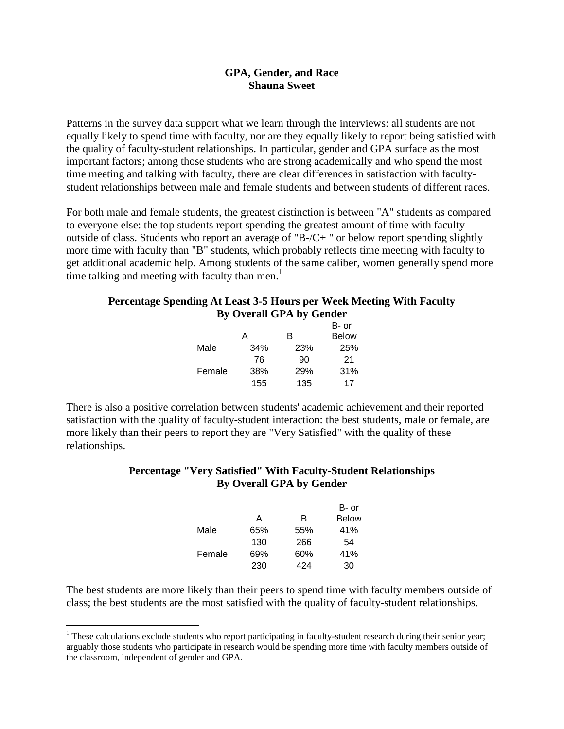## **GPA, Gender, and Race Shauna Sweet**

Patterns in the survey data support what we learn through the interviews: all students are not equally likely to spend time with faculty, nor are they equally likely to report being satisfied with the quality of faculty-student relationships. In particular, gender and GPA surface as the most important factors; among those students who are strong academically and who spend the most time meeting and talking with faculty, there are clear differences in satisfaction with facultystudent relationships between male and female students and between students of different races.

For both male and female students, the greatest distinction is between "A" students as compared to everyone else: the top students report spending the greatest amount of time with faculty outside of class. Students who report an average of "B-/C+ " or below report spending slightly more time with faculty than "B" students, which probably reflects time meeting with faculty to get additional academic help. Among students of the same caliber, women generally spend more time talking and meeting with faculty than men.<sup>1</sup>

## **Percentage Spending At Least 3-5 Hours per Week Meeting With Faculty By Overall GPA by Gender**

|        |     |     | B- or        |
|--------|-----|-----|--------------|
|        | А   | R   | <b>Below</b> |
| Male   | 34% | 23% | 25%          |
|        | 76  | 90  | 21           |
| Female | 38% | 29% | 31%          |
|        | 155 | 135 | 17           |

There is also a positive correlation between students' academic achievement and their reported satisfaction with the quality of faculty-student interaction: the best students, male or female, are more likely than their peers to report they are "Very Satisfied" with the quality of these relationships.

## **Percentage "Very Satisfied" With Faculty-Student Relationships By Overall GPA by Gender**

|        |     |     | B- or        |
|--------|-----|-----|--------------|
|        | А   | B   | <b>Below</b> |
| Male   | 65% | 55% | 41%          |
|        | 130 | 266 | 54           |
| Female | 69% | 60% | 41%          |
|        | 230 | 424 | 30           |

The best students are more likely than their peers to spend time with faculty members outside of class; the best students are the most satisfied with the quality of faculty-student relationships.

<u>.</u>

<sup>&</sup>lt;sup>1</sup> These calculations exclude students who report participating in faculty-student research during their senior year; arguably those students who participate in research would be spending more time with faculty members outside of the classroom, independent of gender and GPA.